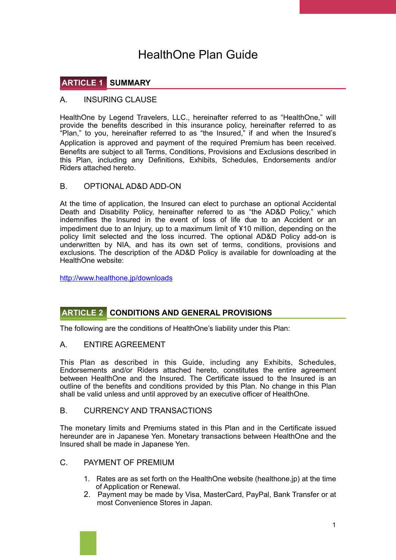# HealthOne Plan Guide

# **ARTICLE 1 SUMMARY**

#### A. INSURING CLAUSE

HealthOne by Legend Travelers, LLC., hereinafter referred to as "HealthOne." will provide the benefits described in this insurance policy, hereinafter referred to as "Plan," to you, hereinafter referred to as "the Insured," if and when the Insured's Application is approved and payment of the required Premium has been received. Benefits are subject to all Terms, Conditions, Provisions and Exclusions described in this Plan, including any Definitions, Exhibits, Schedules, Endorsements and/or Riders attached hereto.

#### B. OPTIONAL AD&D ADD-ON

At the time of application, the Insured can elect to purchase an optional Accidental Death and Disability Policy, hereinafter referred to as "the AD&D Policy," which indemnifies the Insured in the event of loss of life due to an Accident or an impediment due to an Injury, up to a maximum limit of ¥10 million, depending on the policy limit selected and the loss incurred. The optional AD&D Policy add-on is underwritten by NIA, and has its own set of terms, conditions, provisions and exclusions. The description of the AD&D Policy is available for downloading at the HealthOne website:

<http://www.healthone.jp/downloads>

## **ARTICLE 2 CONDITIONS AND GENERAL PROVISIONS**

The following are the conditions of HealthOne's liability under this Plan:

#### A. ENTIRE AGREEMENT

This Plan as described in this Guide, including any Exhibits, Schedules, Endorsements and/or Riders attached hereto, constitutes the entire agreement between HealthOne and the Insured. The Certificate issued to the Insured is an outline of the benefits and conditions provided by this Plan. No change in this Plan shall be valid unless and until approved by an executive officer of HealthOne.

#### B. CURRENCY AND TRANSACTIONS

The monetary limits and Premiums stated in this Plan and in the Certificate issued hereunder are in Japanese Yen. Monetary transactions between HealthOne and the Insured shall be made in Japanese Yen.

- C. PAYMENT OF PREMIUM
	- 1. Rates are as set forth on the HealthOne website (healthone.jp) at the time of Application or Renewal.
	- 2. Payment may be made by Visa, MasterCard, PayPal, Bank Transfer or at most Convenience Stores in Japan.

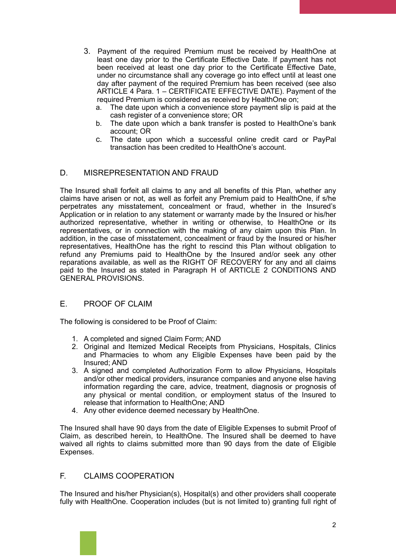- 3. Payment of the required Premium must be received by HealthOne at least one day prior to the Certificate Effective Date. If payment has not been received at least one day prior to the Certificate Effective Date, under no circumstance shall any coverage go into effect until at least one day after payment of the required Premium has been received (see also ARTICLE 4 Para. 1 – CERTIFICATE EFFECTIVE DATE). Payment of the required Premium is considered as received by HealthOne on;
	- a. The date upon which a convenience store payment slip is paid at the cash register of a convenience store; OR
	- b. The date upon which a bank transfer is posted to HealthOne's bank account; OR
	- c. The date upon which a successful online credit card or PayPal transaction has been credited to HealthOne's account.

#### D. MISREPRESENTATION AND FRAUD

The Insured shall forfeit all claims to any and all benefits of this Plan, whether any claims have arisen or not, as well as forfeit any Premium paid to HealthOne, if s/he perpetrates any misstatement, concealment or fraud, whether in the Insured's Application or in relation to any statement or warranty made by the Insured or his/her authorized representative, whether in writing or otherwise, to HealthOne or its representatives, or in connection with the making of any claim upon this Plan. In addition, in the case of misstatement, concealment or fraud by the Insured or his/her representatives, HealthOne has the right to rescind this Plan without obligation to refund any Premiums paid to HealthOne by the Insured and/or seek any other reparations available, as well as the RIGHT OF RECOVERY for any and all claims paid to the Insured as stated in Paragraph H of ARTICLE 2 CONDITIONS AND GENERAL PROVISIONS.

## E. PROOF OF CLAIM

The following is considered to be Proof of Claim:

- 1. A completed and signed Claim Form; AND
- 2. Original and Itemized Medical Receipts from Physicians, Hospitals, Clinics and Pharmacies to whom any Eligible Expenses have been paid by the Insured; AND
- 3. A signed and completed Authorization Form to allow Physicians, Hospitals and/or other medical providers, insurance companies and anyone else having information regarding the care, advice, treatment, diagnosis or prognosis of any physical or mental condition, or employment status of the Insured to release that information to HealthOne; AND
- 4. Any other evidence deemed necessary by HealthOne.

The Insured shall have 90 days from the date of Eligible Expenses to submit Proof of Claim, as described herein, to HealthOne. The Insured shall be deemed to have waived all rights to claims submitted more than 90 days from the date of Eligible Expenses.

#### F. CLAIMS COOPERATION

The Insured and his/her Physician(s), Hospital(s) and other providers shall cooperate fully with HealthOne. Cooperation includes (but is not limited to) granting full right of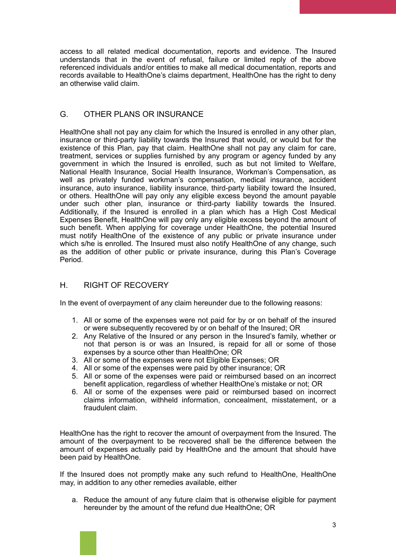access to all related medical documentation, reports and evidence. The Insured understands that in the event of refusal, failure or limited reply of the above referenced individuals and/or entities to make all medical documentation, reports and records available to HealthOne's claims department, HealthOne has the right to deny an otherwise valid claim.

## G. OTHER PLANS OR INSURANCE

HealthOne shall not pay any claim for which the Insured is enrolled in any other plan, insurance or third-party liability towards the Insured that would, or would but for the existence of this Plan, pay that claim. HealthOne shall not pay any claim for care, treatment, services or supplies furnished by any program or agency funded by any government in which the Insured is enrolled, such as but not limited to Welfare, National Health Insurance, Social Health Insurance, Workman's Compensation, as well as privately funded workman's compensation, medical insurance, accident insurance, auto insurance, liability insurance, third-party liability toward the Insured, or others. HealthOne will pay only any eligible excess beyond the amount payable under such other plan, insurance or third-party liability towards the Insured. Additionally, if the Insured is enrolled in a plan which has a High Cost Medical Expenses Benefit, HealthOne will pay only any eligible excess beyond the amount of such benefit. When applying for coverage under HealthOne, the potential Insured must notify HealthOne of the existence of any public or private insurance under which s/he is enrolled. The Insured must also notify HealthOne of any change, such as the addition of other public or private insurance, during this Plan's Coverage Period.

#### H. RIGHT OF RECOVERY

In the event of overpayment of any claim hereunder due to the following reasons:

- 1. All or some of the expenses were not paid for by or on behalf of the insured or were subsequently recovered by or on behalf of the Insured; OR
- 2. Any Relative of the Insured or any person in the Insured's family, whether or not that person is or was an Insured, is repaid for all or some of those expenses by a source other than HealthOne; OR
- 3. All or some of the expenses were not Eligible Expenses; OR
- 4. All or some of the expenses were paid by other insurance; OR
- 5. All or some of the expenses were paid or reimbursed based on an incorrect benefit application, regardless of whether HealthOne's mistake or not; OR
- 6. All or some of the expenses were paid or reimbursed based on incorrect claims information, withheld information, concealment, misstatement, or a fraudulent claim.

HealthOne has the right to recover the amount of overpayment from the Insured. The amount of the overpayment to be recovered shall be the difference between the amount of expenses actually paid by HealthOne and the amount that should have been paid by HealthOne.

If the Insured does not promptly make any such refund to HealthOne, HealthOne may, in addition to any other remedies available, either

a. Reduce the amount of any future claim that is otherwise eligible for payment hereunder by the amount of the refund due HealthOne; OR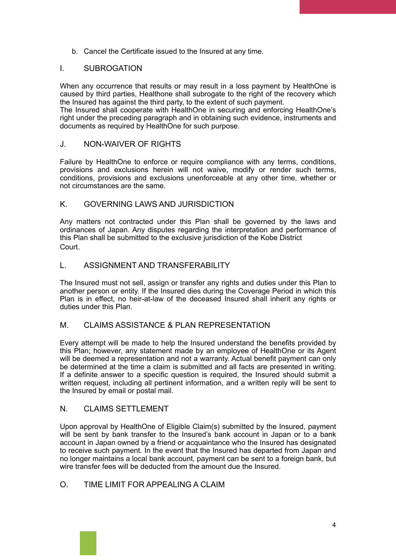b. Cancel the Certificate issued to the Insured at any time.

#### I. SUBROGATION

When any occurrence that results or may result in a loss payment by HealthOne is caused by third parties, Healthone shall subrogate to the right of the recovery which the Insured has against the third party, to the extent of such payment.

The Insured shall cooperate with HealthOne in securing and enforcing HealthOne's right under the preceding paragraph and in obtaining such evidence, instruments and documents as required by HealthOne for such purpose.

#### J. NON-WAIVER OF RIGHTS

Failure by HealthOne to enforce or require compliance with any terms, conditions, provisions and exclusions herein will not waive, modify or render such terms, conditions, provisions and exclusions unenforceable at any other time, whether or not circumstances are the same.

#### K. GOVERNING LAWS AND JURISDICTION

Any matters not contracted under this Plan shall be governed by the laws and ordinances of Japan. Any disputes regarding the interpretation and performance of this Plan shall be submitted to the exclusive jurisdiction of the Kobe District Court.

#### L. ASSIGNMENT AND TRANSFERABILITY

The Insured must not sell, assign or transfer any rights and duties under this Plan to another person or entity. If the Insured dies during the Coverage Period in which this Plan is in effect, no heir-at-law of the deceased Insured shall inherit any rights or duties under this Plan.

#### M. CLAIMS ASSISTANCE & PLAN REPRESENTATION

Every attempt will be made to help the Insured understand the benefits provided by this Plan; however, any statement made by an employee of HealthOne or its Agent will be deemed a representation and not a warranty. Actual benefit payment can only be determined at the time a claim is submitted and all facts are presented in writing. If a definite answer to a specific question is required, the Insured should submit a written request, including all pertinent information, and a written reply will be sent to the Insured by email or postal mail.

#### N. CLAIMS SETTLEMENT

Upon approval by HealthOne of Eligible Claim(s) submitted by the Insured, payment will be sent by bank transfer to the Insured's bank account in Japan or to a bank account in Japan owned by a friend or acquaintance who the Insured has designated to receive such payment. In the event that the Insured has departed from Japan and no longer maintains a local bank account, payment can be sent to a foreign bank, but wire transfer fees will be deducted from the amount due the Insured.

## O. TIME LIMIT FOR APPEALING A CLAIM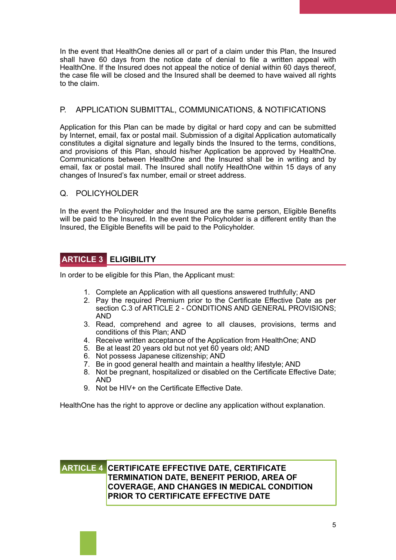In the event that HealthOne denies all or part of a claim under this Plan, the Insured shall have 60 days from the notice date of denial to file a written appeal with HealthOne. If the Insured does not appeal the notice of denial within 60 days thereof, the case file will be closed and the Insured shall be deemed to have waived all rights to the claim.

## P. APPLICATION SUBMITTAL, COMMUNICATIONS, & NOTIFICATIONS

Application for this Plan can be made by digital or hard copy and can be submitted by Internet, email, fax or postal mail. Submission of a digital Application automatically constitutes a digital signature and legally binds the Insured to the terms, conditions, and provisions of this Plan, should his/her Application be approved by HealthOne. Communications between HealthOne and the Insured shall be in writing and by email, fax or postal mail. The Insured shall notify HealthOne within 15 days of any changes of Insured's fax number, email or street address.

#### Q. POLICYHOLDER

In the event the Policyholder and the Insured are the same person, Eligible Benefits will be paid to the Insured. In the event the Policyholder is a different entity than the Insured, the Eligible Benefits will be paid to the Policyholder.

## **ARTICLE 3 ELIGIBILITY**

In order to be eligible for this Plan, the Applicant must:

- 1. Complete an Application with all questions answered truthfully; AND
- 2. Pay the required Premium prior to the Certificate Effective Date as per section C.3 of ARTICLE 2 - CONDITIONS AND GENERAL PROVISIONS; AND
- 3. Read, comprehend and agree to all clauses, provisions, terms and conditions of this Plan; AND
- 4. Receive written acceptance of the Application from HealthOne; AND
- 5. Be at least 20 years old but not yet 60 years old; AND
- 6. Not possess Japanese citizenship; AND
- 7. Be in good general health and maintain a healthy lifestyle; AND
- 8. Not be pregnant, hospitalized or disabled on the Certificate Effective Date; AND
- 9. Not be HIV+ on the Certificate Effective Date.

HealthOne has the right to approve or decline any application without explanation.

## **ARTICLE 4 CERTIFICATE EFFECTIVE DATE, CERTIFICATE TERMINATION DATE, BENEFIT PERIOD, AREA OF COVERAGE, AND CHANGES IN MEDICAL CONDITION PRIOR TO CERTIFICATE EFFECTIVE DATE**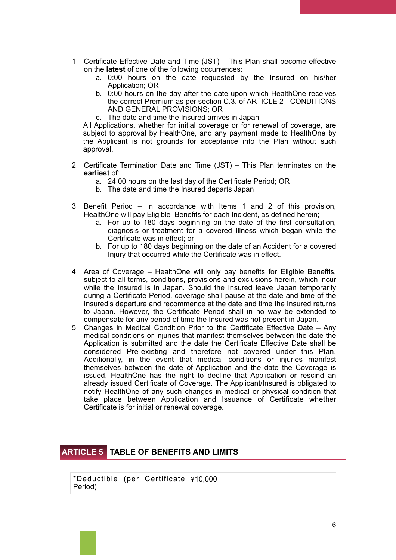- 1. Certificate Effective Date and Time (JST) This Plan shall become effective on the **latest** of one of the following occurrences:
	- a. 0:00 hours on the date requested by the Insured on his/her Application; OR
	- b. 0:00 hours on the day after the date upon which HealthOne receives the correct Premium as per section C.3. of ARTICLE 2 - CONDITIONS AND GENERAL PROVISIONS; OR
	- c. The date and time the Insured arrives in Japan

All Applications, whether for initial coverage or for renewal of coverage, are subject to approval by HealthOne, and any payment made to HealthOne by the Applicant is not grounds for acceptance into the Plan without such approval.

- 2. Certificate Termination Date and Time (JST) This Plan terminates on the **earliest** of:
	- a. 24:00 hours on the last day of the Certificate Period; OR
	- b. The date and time the Insured departs Japan
- 3. Benefit Period In accordance with Items 1 and 2 of this provision, HealthOne will pay Eligible Benefits for each Incident, as defined herein;
	- a. For up to 180 days beginning on the date of the first consultation, diagnosis or treatment for a covered Illness which began while the Certificate was in effect; or
	- b. For up to 180 days beginning on the date of an Accident for a covered Injury that occurred while the Certificate was in effect.
- 4. Area of Coverage HealthOne will only pay benefits for Eligible Benefits, subject to all terms, conditions, provisions and exclusions herein, which incur while the Insured is in Japan. Should the Insured leave Japan temporarily during a Certificate Period, coverage shall pause at the date and time of the Insured's departure and recommence at the date and time the Insured returns to Japan. However, the Certificate Period shall in no way be extended to compensate for any period of time the Insured was not present in Japan.
- 5. Changes in Medical Condition Prior to the Certificate Effective Date Any medical conditions or injuries that manifest themselves between the date the Application is submitted and the date the Certificate Effective Date shall be considered Pre-existing and therefore not covered under this Plan. Additionally, in the event that medical conditions or injuries manifest themselves between the date of Application and the date the Coverage is issued, HealthOne has the right to decline that Application or rescind an already issued Certificate of Coverage. The Applicant/Insured is obligated to notify HealthOne of any such changes in medical or physical condition that take place between Application and Issuance of Certificate whether Certificate is for initial or renewal coverage.

## **ARTICLE 5 TABLE OF BENEFITS AND LIMITS**

| *Deductible (per Certificate $\frac{1}{2}$ 10,000 |  |  |
|---------------------------------------------------|--|--|
| Period)                                           |  |  |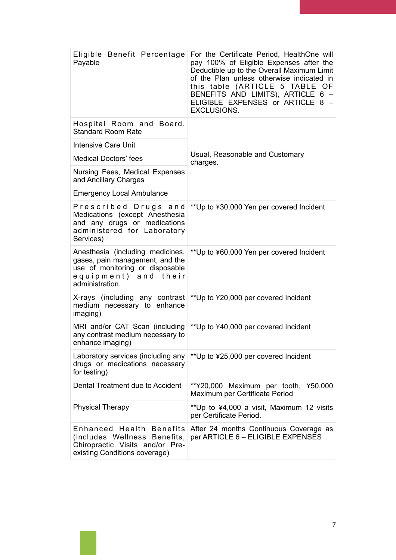| Eligible Benefit Percentage<br>Payable                                                                                                            | For the Certificate Period, HealthOne will<br>pay 100% of Eligible Expenses after the<br>Deductible up to the Overall Maximum Limit<br>of the Plan unless otherwise indicated in<br>this table (ARTICLE 5 TABLE OF<br>BENEFITS AND LIMITS), ARTICLE 6 -<br>ELIGIBLE EXPENSES or ARTICLE 8 -<br><b>EXCLUSIONS.</b> |
|---------------------------------------------------------------------------------------------------------------------------------------------------|-------------------------------------------------------------------------------------------------------------------------------------------------------------------------------------------------------------------------------------------------------------------------------------------------------------------|
| Hospital Room and Board,<br><b>Standard Room Rate</b>                                                                                             | Usual, Reasonable and Customary<br>charges.                                                                                                                                                                                                                                                                       |
| <b>Intensive Care Unit</b>                                                                                                                        |                                                                                                                                                                                                                                                                                                                   |
| <b>Medical Doctors' fees</b>                                                                                                                      |                                                                                                                                                                                                                                                                                                                   |
| Nursing Fees, Medical Expenses<br>and Ancillary Charges                                                                                           |                                                                                                                                                                                                                                                                                                                   |
| <b>Emergency Local Ambulance</b>                                                                                                                  |                                                                                                                                                                                                                                                                                                                   |
| Prescribed Drugs and<br>Medications (except Anesthesia<br>and any drugs or medications<br>administered for Laboratory<br>Services)                | ** Up to ¥30,000 Yen per covered Incident                                                                                                                                                                                                                                                                         |
| Anesthesia (including medicines,<br>gases, pain management, and the<br>use of monitoring or disposable<br>equipment) and their<br>administration. | ** Up to ¥60,000 Yen per covered Incident                                                                                                                                                                                                                                                                         |
| X-rays (including any contrast<br>medium necessary to enhance<br>imaging)                                                                         | ** Up to ¥20,000 per covered Incident                                                                                                                                                                                                                                                                             |
| MRI and/or CAT Scan (including<br>any contrast medium necessary to<br>enhance imaging)                                                            | ** Up to ¥40,000 per covered Incident                                                                                                                                                                                                                                                                             |
| Laboratory services (including any<br>drugs or medications necessary<br>for testing)                                                              | ** Up to ¥25,000 per covered Incident                                                                                                                                                                                                                                                                             |
| Dental Treatment due to Accident                                                                                                                  | **¥20,000 Maximum per tooth, ¥50,000<br>Maximum per Certificate Period                                                                                                                                                                                                                                            |
| <b>Physical Therapy</b>                                                                                                                           | ** Up to ¥4,000 a visit, Maximum 12 visits<br>per Certificate Period.                                                                                                                                                                                                                                             |
| Enhanced Health Benefits<br>(includes Wellness Benefits,<br>Chiropractic Visits and/or Pre-<br>existing Conditions coverage)                      | After 24 months Continuous Coverage as<br>per ARTICLE 6 - ELIGIBLE EXPENSES                                                                                                                                                                                                                                       |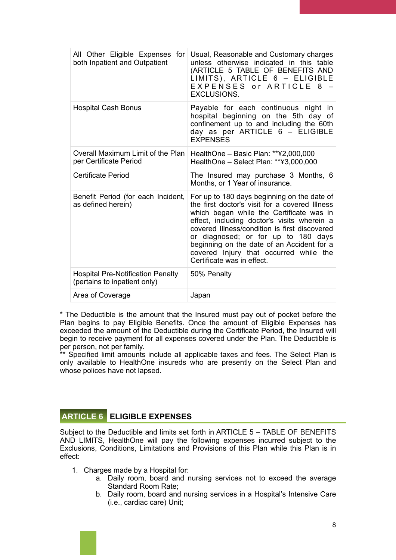| All Other Eligible Expenses for<br>both Inpatient and Outpatient         | Usual, Reasonable and Customary charges<br>unless otherwise indicated in this table<br>(ARTICLE 5 TABLE OF BENEFITS AND<br>LIMITS), ARTICLE 6 - ELIGIBLE<br>EXPENSES or ARTICLE 8<br><b>EXCLUSIONS.</b>                                                                                                                                                                                                |
|--------------------------------------------------------------------------|--------------------------------------------------------------------------------------------------------------------------------------------------------------------------------------------------------------------------------------------------------------------------------------------------------------------------------------------------------------------------------------------------------|
| <b>Hospital Cash Bonus</b>                                               | Payable for each continuous night in<br>hospital beginning on the 5th day of<br>confinement up to and including the 60th<br>day as per ARTICLE 6 - ELIGIBLE<br><b>EXPENSES</b>                                                                                                                                                                                                                         |
| Overall Maximum Limit of the Plan<br>per Certificate Period              | HealthOne - Basic Plan: **¥2,000,000<br>HealthOne - Select Plan: **¥3,000,000                                                                                                                                                                                                                                                                                                                          |
| <b>Certificate Period</b>                                                | The Insured may purchase 3 Months, 6<br>Months, or 1 Year of insurance.                                                                                                                                                                                                                                                                                                                                |
| Benefit Period (for each Incident,<br>as defined herein)                 | For up to 180 days beginning on the date of<br>the first doctor's visit for a covered Illness<br>which began while the Certificate was in<br>effect, including doctor's visits wherein a<br>covered Illness/condition is first discovered<br>or diagnosed; or for up to 180 days<br>beginning on the date of an Accident for a<br>covered Injury that occurred while the<br>Certificate was in effect. |
| <b>Hospital Pre-Notification Penalty</b><br>(pertains to inpatient only) | 50% Penalty                                                                                                                                                                                                                                                                                                                                                                                            |
| Area of Coverage                                                         | Japan                                                                                                                                                                                                                                                                                                                                                                                                  |

\* The Deductible is the amount that the Insured must pay out of pocket before the Plan begins to pay Eligible Benefits. Once the amount of Eligible Expenses has exceeded the amount of the Deductible during the Certificate Period, the Insured will begin to receive payment for all expenses covered under the Plan. The Deductible is per person, not per family.

\*\* Specified limit amounts include all applicable taxes and fees. The Select Plan is only available to HealthOne insureds who are presently on the Select Plan and whose polices have not lapsed.

#### **ARTICLE 6 ELIGIBLE EXPENSES**

Subject to the Deductible and limits set forth in ARTICLE 5 – TABLE OF BENEFITS AND LIMITS, HealthOne will pay the following expenses incurred subject to the Exclusions, Conditions, Limitations and Provisions of this Plan while this Plan is in effect:

- 1. Charges made by a Hospital for:
	- a. Daily room, board and nursing services not to exceed the average Standard Room Rate;
	- b. Daily room, board and nursing services in a Hospital's Intensive Care (i.e., cardiac care) Unit;

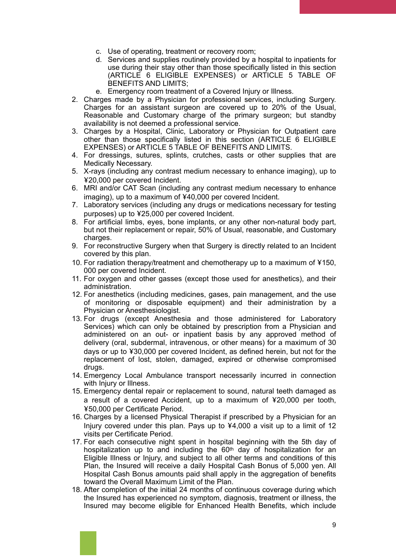- c. Use of operating, treatment or recovery room;
- d. Services and supplies routinely provided by a hospital to inpatients for use during their stay other than those specifically listed in this section (ARTICLE 6 ELIGIBLE EXPENSES) or ARTICLE 5 TABLE OF BENEFITS AND LIMITS;
- e. Emergency room treatment of a Covered Injury or Illness.
- 2. Charges made by a Physician for professional services, including Surgery. Charges for an assistant surgeon are covered up to 20% of the Usual, Reasonable and Customary charge of the primary surgeon; but standby availability is not deemed a professional service.
- 3. Charges by a Hospital, Clinic, Laboratory or Physician for Outpatient care other than those specifically listed in this section (ARTICLE 6 ELIGIBLE EXPENSES) or ARTICLE 5 TABLE OF BENEFITS AND LIMITS.
- 4. For dressings, sutures, splints, crutches, casts or other supplies that are Medically Necessary.
- 5. X-rays (including any contrast medium necessary to enhance imaging), up to ¥20,000 per covered Incident.
- 6. MRI and/or CAT Scan (including any contrast medium necessary to enhance imaging), up to a maximum of ¥40,000 per covered Incident.
- 7. Laboratory services (including any drugs or medications necessary for testing purposes) up to ¥25,000 per covered Incident.
- 8. For artificial limbs, eyes, bone implants, or any other non-natural body part, but not their replacement or repair, 50% of Usual, reasonable, and Customary charges.
- 9. For reconstructive Surgery when that Surgery is directly related to an Incident covered by this plan.
- 10. For radiation therapy/treatment and chemotherapy up to a maximum of ¥150, 000 per covered Incident.
- 11. For oxygen and other gasses (except those used for anesthetics), and their administration.
- 12. For anesthetics (including medicines, gases, pain management, and the use of monitoring or disposable equipment) and their administration by a Physician or Anesthesiologist.
- 13. For drugs (except Anesthesia and those administered for Laboratory Services) which can only be obtained by prescription from a Physician and administered on an out- or inpatient basis by any approved method of delivery (oral, subdermal, intravenous, or other means) for a maximum of 30 days or up to ¥30,000 per covered Incident, as defined herein, but not for the replacement of lost, stolen, damaged, expired or otherwise compromised drugs.
- 14. Emergency Local Ambulance transport necessarily incurred in connection with Injury or Illness.
- 15. Emergency dental repair or replacement to sound, natural teeth damaged as a result of a covered Accident, up to a maximum of ¥20,000 per tooth, ¥50,000 per Certificate Period.
- 16. Charges by a licensed Physical Therapist if prescribed by a Physician for an Injury covered under this plan. Pays up to ¥4,000 a visit up to a limit of 12 visits per Certificate Period.
- 17. For each consecutive night spent in hospital beginning with the 5th day of hospitalization up to and including the  $60<sup>th</sup>$  day of hospitalization for an Eligible Illness or Injury, and subject to all other terms and conditions of this Plan, the Insured will receive a daily Hospital Cash Bonus of 5,000 yen. All Hospital Cash Bonus amounts paid shall apply in the aggregation of benefits toward the Overall Maximum Limit of the Plan.
- 18. After completion of the initial 24 months of continuous coverage during which the Insured has experienced no symptom, diagnosis, treatment or illness, the Insured may become eligible for Enhanced Health Benefits, which include

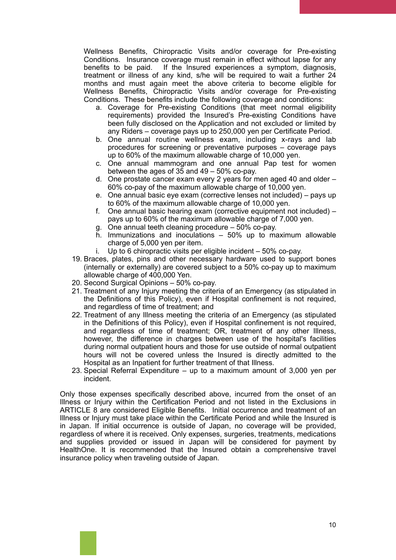Wellness Benefits, Chiropractic Visits and/or coverage for Pre-existing Conditions. Insurance coverage must remain in effect without lapse for any benefits to be paid. If the Insured experiences a symptom, diagnosis, treatment or illness of any kind, s/he will be required to wait a further 24 months and must again meet the above criteria to become eligible for Wellness Benefits, Chiropractic Visits and/or coverage for Pre-existing Conditions. These benefits include the following coverage and conditions:

- a. Coverage for Pre-existing Conditions (that meet normal eligibility requirements) provided the Insured's Pre-existing Conditions have been fully disclosed on the Application and not excluded or limited by any Riders – coverage pays up to 250,000 yen per Certificate Period.
- b. One annual routine wellness exam, including x-rays and lab procedures for screening or preventative purposes – coverage pays up to 60% of the maximum allowable charge of 10,000 yen.
- c. One annual mammogram and one annual Pap test for women between the ages of 35 and 49 – 50% co-pay.
- d. One prostate cancer exam every 2 years for men aged 40 and older 60% co-pay of the maximum allowable charge of 10,000 yen.
- e. One annual basic eye exam (corrective lenses not included) pays up to 60% of the maximum allowable charge of 10,000 yen.
- f. One annual basic hearing exam (corrective equipment not included) pays up to 60% of the maximum allowable charge of 7,000 yen.
- g. One annual teeth cleaning procedure 50% co-pay.
- h. Immunizations and inoculations 50% up to maximum allowable charge of 5,000 yen per item.
- i. Up to 6 chiropractic visits per eligible incident 50% co-pay.
- 19. Braces, plates, pins and other necessary hardware used to support bones (internally or externally) are covered subject to a 50% co-pay up to maximum allowable charge of 400,000 Yen.
- 20. Second Surgical Opinions 50% co-pay.
- 21. Treatment of any Injury meeting the criteria of an Emergency (as stipulated in the Definitions of this Policy), even if Hospital confinement is not required, and regardless of time of treatment; and
- 22. Treatment of any Illness meeting the criteria of an Emergency (as stipulated in the Definitions of this Policy), even if Hospital confinement is not required, and regardless of time of treatment; OR, treatment of any other Illness, however, the difference in charges between use of the hospital's facilities during normal outpatient hours and those for use outside of normal outpatient hours will not be covered unless the Insured is directly admitted to the Hospital as an Inpatient for further treatment of that Illness.
- 23. Special Referral Expenditure up to a maximum amount of 3,000 yen per incident.

Only those expenses specifically described above, incurred from the onset of an Illness or Injury within the Certification Period and not listed in the Exclusions in ARTICLE 8 are considered Eligible Benefits. Initial occurrence and treatment of an Illness or Injury must take place within the Certificate Period and while the Insured is in Japan. If initial occurrence is outside of Japan, no coverage will be provided, regardless of where it is received. Only expenses, surgeries, treatments, medications and supplies provided or issued in Japan will be considered for payment by HealthOne. It is recommended that the Insured obtain a comprehensive travel insurance policy when traveling outside of Japan.

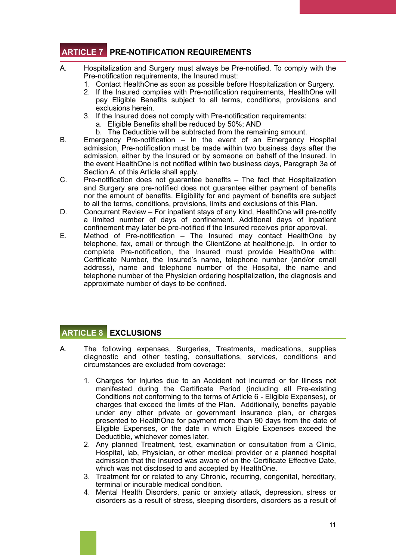# **ARTICLE 7 PRE-NOTIFICATION REQUIREMENTS**

- A. Hospitalization and Surgery must always be Pre-notified. To comply with the Pre-notification requirements, the Insured must:
	- 1. Contact HealthOne as soon as possible before Hospitalization or Surgery.
	- 2. If the Insured complies with Pre-notification requirements, HealthOne will pay Eligible Benefits subject to all terms, conditions, provisions and exclusions herein.
	- 3. If the Insured does not comply with Pre-notification requirements:
		- a. Eligible Benefits shall be reduced by 50%; AND
		- b. The Deductible will be subtracted from the remaining amount.
- B. Emergency Pre-notification In the event of an Emergency Hospital admission, Pre-notification must be made within two business days after the admission, either by the Insured or by someone on behalf of the Insured. In the event HealthOne is not notified within two business days, Paragraph 3a of Section A. of this Article shall apply.
- C. Pre-notification does not guarantee benefits The fact that Hospitalization and Surgery are pre-notified does not guarantee either payment of benefits nor the amount of benefits. Eligibility for and payment of benefits are subject to all the terms, conditions, provisions, limits and exclusions of this Plan.
- D. Concurrent Review For inpatient stays of any kind, HealthOne will pre-notify a limited number of days of confinement. Additional days of inpatient confinement may later be pre-notified if the Insured receives prior approval.
- E. Method of Pre-notification The Insured may contact HealthOne by telephone, fax, email or through the ClientZone at healthone.jp. In order to complete Pre-notification, the Insured must provide HealthOne with: Certificate Number, the Insured's name, telephone number (and/or email address), name and telephone number of the Hospital, the name and telephone number of the Physician ordering hospitalization, the diagnosis and approximate number of days to be confined.

## **ARTICLE 8 EXCLUSIONS**

- A. The following expenses, Surgeries, Treatments, medications, supplies diagnostic and other testing, consultations, services, conditions and circumstances are excluded from coverage:
	- 1. Charges for Injuries due to an Accident not incurred or for Illness not manifested during the Certificate Period (including all Pre-existing Conditions not conforming to the terms of Article 6 - Eligible Expenses), or charges that exceed the limits of the Plan. Additionally, benefits payable under any other private or government insurance plan, or charges presented to HealthOne for payment more than 90 days from the date of Eligible Expenses, or the date in which Eligible Expenses exceed the Deductible, whichever comes later.
	- 2. Any planned Treatment, test, examination or consultation from a Clinic, Hospital, lab, Physician, or other medical provider or a planned hospital admission that the Insured was aware of on the Certificate Effective Date, which was not disclosed to and accepted by HealthOne.
	- 3. Treatment for or related to any Chronic, recurring, congenital, hereditary, terminal or incurable medical condition.
	- 4. Mental Health Disorders, panic or anxiety attack, depression, stress or disorders as a result of stress, sleeping disorders, disorders as a result of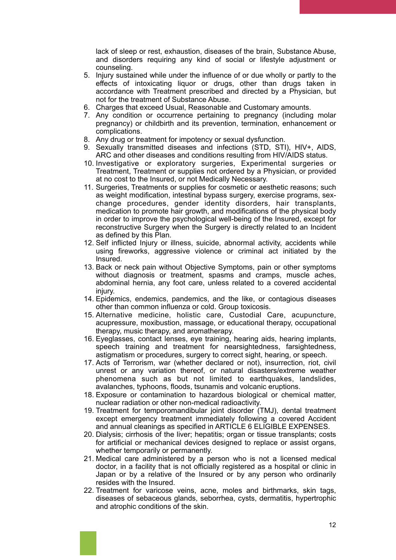lack of sleep or rest, exhaustion, diseases of the brain, Substance Abuse, and disorders requiring any kind of social or lifestyle adjustment or counseling.

- 5. Injury sustained while under the influence of or due wholly or partly to the effects of intoxicating liquor or drugs, other than drugs taken in accordance with Treatment prescribed and directed by a Physician, but not for the treatment of Substance Abuse.
- 6. Charges that exceed Usual, Reasonable and Customary amounts.
- 7. Any condition or occurrence pertaining to pregnancy (including molar pregnancy) or childbirth and its prevention, termination, enhancement or complications.
- 8. Any drug or treatment for impotency or sexual dysfunction.
- 9. Sexually transmitted diseases and infections (STD, STI), HIV+, AIDS, ARC and other diseases and conditions resulting from HIV/AIDS status.
- 10. Investigative or exploratory surgeries, Experimental surgeries or Treatment, Treatment or supplies not ordered by a Physician, or provided at no cost to the Insured, or not Medically Necessary.
- 11. Surgeries, Treatments or supplies for cosmetic or aesthetic reasons; such as weight modification, intestinal bypass surgery, exercise programs, sexchange procedures, gender identity disorders, hair transplants, medication to promote hair growth, and modifications of the physical body in order to improve the psychological well-being of the Insured, except for reconstructive Surgery when the Surgery is directly related to an Incident as defined by this Plan.
- 12. Self inflicted Injury or illness, suicide, abnormal activity, accidents while using fireworks, aggressive violence or criminal act initiated by the Insured.
- 13. Back or neck pain without Objective Symptoms, pain or other symptoms without diagnosis or treatment, spasms and cramps, muscle aches, abdominal hernia, any foot care, unless related to a covered accidental injury.
- 14. Epidemics, endemics, pandemics, and the like, or contagious diseases other than common influenza or cold. Group toxicosis.
- 15. Alternative medicine, holistic care, Custodial Care, acupuncture, acupressure, moxibustion, massage, or educational therapy, occupational therapy, music therapy, and aromatherapy.
- 16. Eyeglasses, contact lenses, eye training, hearing aids, hearing implants, speech training and treatment for nearsightedness, farsightedness, astigmatism or procedures, surgery to correct sight, hearing, or speech.
- 17. Acts of Terrorism, war (whether declared or not), insurrection, riot, civil unrest or any variation thereof, or natural disasters/extreme weather phenomena such as but not limited to earthquakes, landslides, avalanches, typhoons, floods, tsunamis and volcanic eruptions.
- 18. Exposure or contamination to hazardous biological or chemical matter, nuclear radiation or other non-medical radioactivity.
- 19. Treatment for temporomandibular joint disorder (TMJ), dental treatment except emergency treatment immediately following a covered Accident and annual cleanings as specified in ARTICLE 6 ELIGIBLE EXPENSES.
- 20. Dialysis; cirrhosis of the liver; hepatitis; organ or tissue transplants; costs for artificial or mechanical devices designed to replace or assist organs, whether temporarily or permanently.
- 21. Medical care administered by a person who is not a licensed medical doctor, in a facility that is not officially registered as a hospital or clinic in Japan or by a relative of the Insured or by any person who ordinarily resides with the Insured.
- 22. Treatment for varicose veins, acne, moles and birthmarks, skin tags, diseases of sebaceous glands, seborrhea, cysts, dermatitis, hypertrophic and atrophic conditions of the skin.



12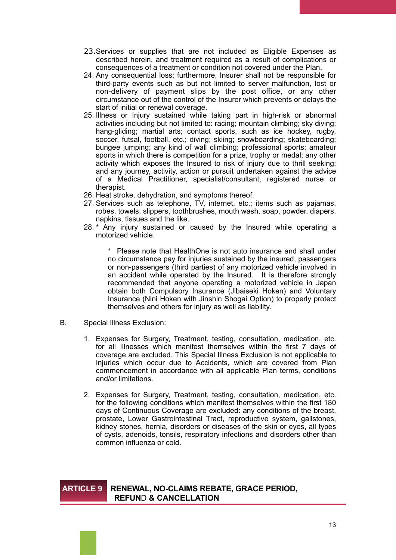- 23.Services or supplies that are not included as Eligible Expenses as described herein, and treatment required as a result of complications or consequences of a treatment or condition not covered under the Plan.
- 24. Any consequential loss; furthermore, Insurer shall not be responsible for third-party events such as but not limited to server malfunction, lost or non-delivery of payment slips by the post office, or any other circumstance out of the control of the Insurer which prevents or delays the start of initial or renewal coverage.
- 25. Illness or Injury sustained while taking part in high-risk or abnormal activities including but not limited to: racing; mountain climbing; sky diving; hang-gliding; martial arts; contact sports, such as ice hockey, rugby, soccer, futsal, football, etc.; diving; skiing; snowboarding; skateboarding; bungee jumping; any kind of wall climbing; professional sports; amateur sports in which there is competition for a prize, trophy or medal; any other activity which exposes the Insured to risk of injury due to thrill seeking; and any journey, activity, action or pursuit undertaken against the advice of a Medical Practitioner, specialist/consultant, registered nurse or therapist.
- 26. Heat stroke, dehydration, and symptoms thereof.
- 27. Services such as telephone, TV, internet, etc.; items such as pajamas, robes, towels, slippers, toothbrushes, mouth wash, soap, powder, diapers, napkins, tissues and the like.
- 28. \* Any injury sustained or caused by the Insured while operating a motorized vehicle.

\* Please note that HealthOne is not auto insurance and shall under no circumstance pay for injuries sustained by the insured, passengers or non-passengers (third parties) of any motorized vehicle involved in an accident while operated by the Insured. It is therefore strongly recommended that anyone operating a motorized vehicle in Japan obtain both Compulsory Insurance (Jibaiseki Hoken) and Voluntary Insurance (Nini Hoken with Jinshin Shogai Option) to properly protect themselves and others for injury as well as liability.

- B. Special Illness Exclusion:
	- 1. Expenses for Surgery, Treatment, testing, consultation, medication, etc. for all Illnesses which manifest themselves within the first 7 days of coverage are excluded. This Special Illness Exclusion is not applicable to Injuries which occur due to Accidents, which are covered from Plan commencement in accordance with all applicable Plan terms, conditions and/or limitations.
	- 2. Expenses for Surgery, Treatment, testing, consultation, medication, etc. for the following conditions which manifest themselves within the first 180 days of Continuous Coverage are excluded: any conditions of the breast, prostate, Lower Gastrointestinal Tract, reproductive system, gallstones, kidney stones, hernia, disorders or diseases of the skin or eyes, all types of cysts, adenoids, tonsils, respiratory infections and disorders other than common influenza or cold.

#### **ARTICLE 9 RENEWAL, NO-CLAIMS REBATE, GRACE PERIOD, REFUN**D **& CANCELLATION**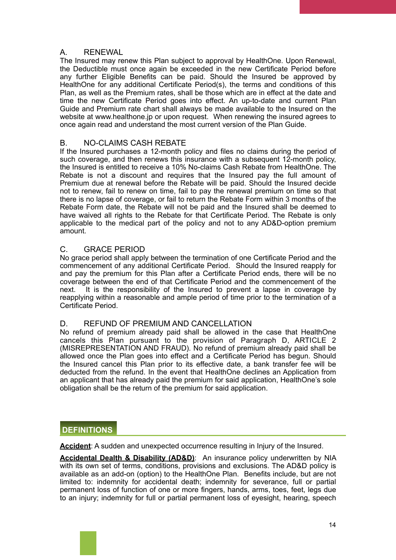### A. RENEWAL

The Insured may renew this Plan subject to approval by HealthOne. Upon Renewal, the Deductible must once again be exceeded in the new Certificate Period before any further Eligible Benefits can be paid. Should the Insured be approved by HealthOne for any additional Certificate Period(s), the terms and conditions of this Plan, as well as the Premium rates, shall be those which are in effect at the date and time the new Certificate Period goes into effect. An up-to-date and current Plan Guide and Premium rate chart shall always be made available to the Insured on the website at www.healthone.jp or upon request. When renewing the insured agrees to once again read and understand the most current version of the Plan Guide.

## B. NO-CLAIMS CASH REBATE

If the Insured purchases a 12-month policy and files no claims during the period of such coverage, and then renews this insurance with a subsequent 12-month policy, the Insured is entitled to receive a 10% No-claims Cash Rebate from HealthOne. The Rebate is not a discount and requires that the Insured pay the full amount of Premium due at renewal before the Rebate will be paid. Should the Insured decide not to renew, fail to renew on time, fail to pay the renewal premium on time so that there is no lapse of coverage, or fail to return the Rebate Form within 3 months of the Rebate Form date, the Rebate will not be paid and the Insured shall be deemed to have waived all rights to the Rebate for that Certificate Period. The Rebate is only applicable to the medical part of the policy and not to any AD&D-option premium amount.

## C. GRACE PERIOD

No grace period shall apply between the termination of one Certificate Period and the commencement of any additional Certificate Period. Should the Insured reapply for and pay the premium for this Plan after a Certificate Period ends, there will be no coverage between the end of that Certificate Period and the commencement of the next. It is the responsibility of the Insured to prevent a lapse in coverage by reapplying within a reasonable and ample period of time prior to the termination of a Certificate Period.

#### D. REFUND OF PREMIUM AND CANCELLATION

No refund of premium already paid shall be allowed in the case that HealthOne cancels this Plan pursuant to the provision of Paragraph D, ARTICLE 2 (MISREPRESENTATION AND FRAUD). No refund of premium already paid shall be allowed once the Plan goes into effect and a Certificate Period has begun. Should the Insured cancel this Plan prior to its effective date, a bank transfer fee will be deducted from the refund. In the event that HealthOne declines an Application from an applicant that has already paid the premium for said application, HealthOne's sole obligation shall be the return of the premium for said application.

# **DEFINITIONS**

**Accident**: A sudden and unexpected occurrence resulting in Injury of the Insured.

**Accidental Dealth & Disability (AD&D)**: An insurance policy underwritten by NIA with its own set of terms, conditions, provisions and exclusions. The AD&D policy is available as an add-on (option) to the HealthOne Plan. Benefits include, but are not limited to: indemnity for accidental death; indemnity for severance, full or partial permanent loss of function of one or more fingers, hands, arms, toes, feet, legs due to an injury; indemnity for full or partial permanent loss of eyesight, hearing, speech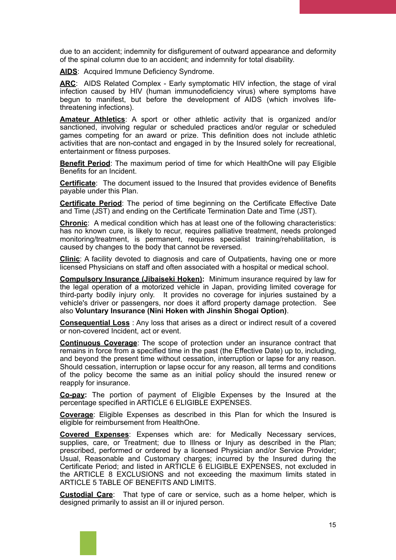due to an accident; indemnity for disfigurement of outward appearance and deformity of the spinal column due to an accident; and indemnity for total disability.

**AIDS**: Acquired Immune Deficiency Syndrome.

ARC: AIDS Related Complex - Early symptomatic HIV infection, the stage of viral infection caused by HIV (human immunodeficiency virus) where symptoms have begun to manifest, but before the development of AIDS (which involves lifethreatening infections).

**Amateur Athletics**: A sport or other athletic activity that is organized and/or sanctioned, involving regular or scheduled practices and/or regular or scheduled games competing for an award or prize. This definition does not include athletic activities that are non-contact and engaged in by the Insured solely for recreational, entertainment or fitness purposes.

**Benefit Period**: The maximum period of time for which HealthOne will pay Eligible Benefits for an Incident.

**Certificate**: The document issued to the Insured that provides evidence of Benefits payable under this Plan.

**Certificate Period**: The period of time beginning on the Certificate Effective Date and Time (JST) and ending on the Certificate Termination Date and Time (JST).

**Chronic**: A medical condition which has at least one of the following characteristics: has no known cure, is likely to recur, requires palliative treatment, needs prolonged monitoring/treatment, is permanent, requires specialist training/rehabilitation, is caused by changes to the body that cannot be reversed.

**Clinic**: A facility devoted to diagnosis and care of Outpatients, having one or more licensed Physicians on staff and often associated with a hospital or medical school.

**Compulsory Insurance (Jibaiseki Hoken):** Minimum insurance required by law for the legal operation of a motorized vehicle in Japan, providing limited coverage for third-party bodily injury only. It provides no coverage for injuries sustained by a vehicle's driver or passengers, nor does it afford property damage protection. See also **Voluntary Insurance (Nini Hoken with Jinshin Shogai Option)**.

**Consequential Loss** : Any loss that arises as a direct or indirect result of a covered or non-covered Incident, act or event.

**Continuous Coverage**: The scope of protection under an insurance contract that remains in force from a specified time in the past (the Effective Date) up to, including, and beyond the present time without cessation, interruption or lapse for any reason. Should cessation, interruption or lapse occur for any reason, all terms and conditions of the policy become the same as an initial policy should the insured renew or reapply for insurance.

**Co-pay:** The portion of payment of Eligible Expenses by the Insured at the percentage specified in ARTICLE 6 ELIGIBLE EXPENSES.

**Coverage**: Eligible Expenses as described in this Plan for which the Insured is eligible for reimbursement from HealthOne.

**Covered Expenses**: Expenses which are: for Medically Necessary services, supplies, care, or Treatment; due to Illness or Injury as described in the Plan; prescribed, performed or ordered by a licensed Physician and/or Service Provider; Usual, Reasonable and Customary charges; incurred by the Insured during the Certificate Period; and listed in ARTICLE 6 ELIGIBLE EXPENSES, not excluded in the ARTICLE 8 EXCLUSIONS and not exceeding the maximum limits stated in ARTICLE 5 TABLE OF BENEFITS AND LIMITS.

**Custodial Care**: That type of care or service, such as a home helper, which is designed primarily to assist an ill or injured person.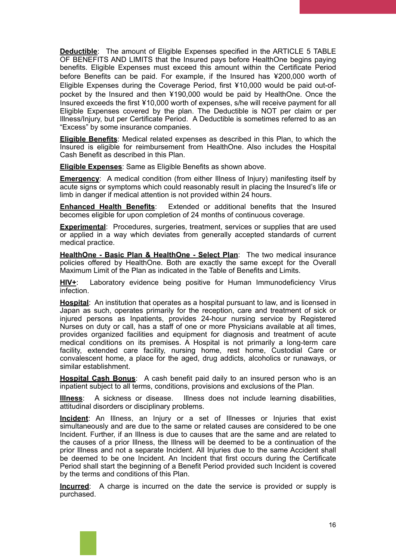**Deductible**: The amount of Eligible Expenses specified in the ARTICLE 5 TABLE OF BENEFITS AND LIMITS that the Insured pays before HealthOne begins paying benefits. Eligible Expenses must exceed this amount within the Certificate Period before Benefits can be paid. For example, if the Insured has ¥200,000 worth of Eligible Expenses during the Coverage Period, first ¥10,000 would be paid out-ofpocket by the Insured and then ¥190,000 would be paid by HealthOne. Once the Insured exceeds the first ¥10,000 worth of expenses, s/he will receive payment for all Eligible Expenses covered by the plan. The Deductible is NOT per claim or per Illness/Injury, but per Certificate Period. A Deductible is sometimes referred to as an "Excess" by some insurance companies.

**Eligible Benefits**: Medical related expenses as described in this Plan, to which the Insured is eligible for reimbursement from HealthOne. Also includes the Hospital Cash Benefit as described in this Plan.

**Eligible Expenses**: Same as Eligible Benefits as shown above.

**Emergency**: A medical condition (from either Illness of Injury) manifesting itself by acute signs or symptoms which could reasonably result in placing the Insured's life or limb in danger if medical attention is not provided within 24 hours.

**Enhanced Health Benefits**: Extended or additional benefits that the Insured becomes eligible for upon completion of 24 months of continuous coverage.

**Experimental**: Procedures, surgeries, treatment, services or supplies that are used or applied in a way which deviates from generally accepted standards of current medical practice.

**HealthOne - Basic Plan & HealthOne - Select Plan**: The two medical insurance policies offered by HealthOne. Both are exactly the same except for the Overall Maximum Limit of the Plan as indicated in the Table of Benefits and Limits.

HIV<sup>+</sup>: Laboratory evidence being positive for Human Immunodeficiency Virus infection.

**Hospital**: An institution that operates as a hospital pursuant to law, and is licensed in Japan as such, operates primarily for the reception, care and treatment of sick or injured persons as Inpatients, provides 24-hour nursing service by Registered Nurses on duty or call, has a staff of one or more Physicians available at all times, provides organized facilities and equipment for diagnosis and treatment of acute medical conditions on its premises. A Hospital is not primarily a long-term care facility, extended care facility, nursing home, rest home, Custodial Care or convalescent home, a place for the aged, drug addicts, alcoholics or runaways, or similar establishment.

**Hospital Cash Bonus**: A cash benefit paid daily to an insured person who is an inpatient subject to all terms, conditions, provisions and exclusions of the Plan.

**Illness**: A sickness or disease. Illness does not include learning disabilities, attitudinal disorders or disciplinary problems.

**Incident**: An Illness, an Injury or a set of Illnesses or Injuries that exist simultaneously and are due to the same or related causes are considered to be one Incident. Further, if an Illness is due to causes that are the same and are related to the causes of a prior Illness, the Illness will be deemed to be a continuation of the prior Illness and not a separate Incident. All Injuries due to the same Accident shall be deemed to be one Incident. An Incident that first occurs during the Certificate Period shall start the beginning of a Benefit Period provided such Incident is covered by the terms and conditions of this Plan.

**Incurred**: A charge is incurred on the date the service is provided or supply is purchased.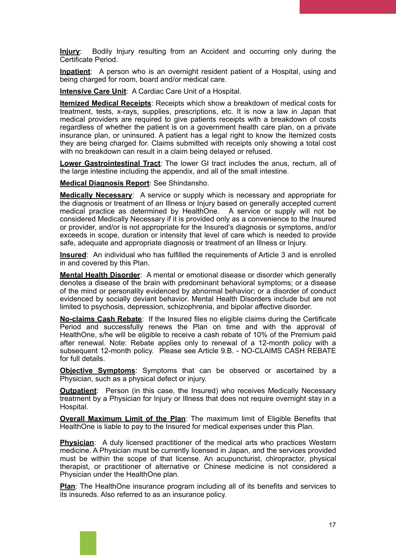**Injury**: Bodily Injury resulting from an Accident and occurring only during the Certificate Period.

**Inpatient**: A person who is an overnight resident patient of a Hospital, using and being charged for room, board and/or medical care.

**Intensive Care Unit**: A Cardiac Care Unit of a Hospital.

**Itemized Medical Receipts**: Receipts which show a breakdown of medical costs for treatment, tests, x-rays, supplies, prescriptions, etc. It is now a law in Japan that medical providers are required to give patients receipts with a breakdown of costs regardless of whether the patient is on a government health care plan, on a private insurance plan, or uninsured. A patient has a legal right to know the Itemized costs they are being charged for. Claims submitted with receipts only showing a total cost with no breakdown can result in a claim being delayed or refused.

**Lower Gastrointestinal Tract**: The lower GI tract includes the anus, rectum, all of the large intestine including the appendix, and all of the small intestine.

**Medical Diagnosis Report**: See Shindansho.

**Medically Necessary**: A service or supply which is necessary and appropriate for the diagnosis or treatment of an Illness or Injury based on generally accepted current medical practice as determined by HealthOne. A service or supply will not be considered Medically Necessary if it is provided only as a convenience to the Insured or provider, and/or is not appropriate for the Insured's diagnosis or symptoms, and/or exceeds in scope, duration or intensity that level of care which is needed to provide safe, adequate and appropriate diagnosis or treatment of an Illness or Injury.

**Insured**: An individual who has fulfilled the requirements of Article 3 and is enrolled in and covered by this Plan.

**Mental Health Disorder**: A mental or emotional disease or disorder which generally denotes a disease of the brain with predominant behavioral symptoms; or a disease of the mind or personality evidenced by abnormal behavior; or a disorder of conduct evidenced by socially deviant behavior. Mental Health Disorders include but are not limited to psychosis, depression, schizophrenia, and bipolar affective disorder.

**No-claims Cash Rebate**: If the Insured files no eligible claims during the Certificate Period and successfully renews the Plan on time and with the approval of HealthOne, s/he will be eligible to receive a cash rebate of 10% of the Premium paid after renewal. Note: Rebate applies only to renewal of a 12-month policy with a subsequent 12-month policy. Please see Article 9.B. - NO-CLAIMS CASH REBATE for full details.

**Objective Symptoms**: Symptoms that can be observed or ascertained by a Physician, such as a physical defect or injury.

**Outpatient:** Person (in this case, the Insured) who receives Medically Necessary treatment by a Physician for Injury or Illness that does not require overnight stay in a Hospital.

**Overall Maximum Limit of the Plan**: The maximum limit of Eligible Benefits that HealthOne is liable to pay to the Insured for medical expenses under this Plan.

**Physician**: A duly licensed practitioner of the medical arts who practices Western medicine. A Physician must be currently licensed in Japan, and the services provided must be within the scope of that license. An acupuncturist, chiropractor, physical therapist, or practitioner of alternative or Chinese medicine is not considered a Physician under the HealthOne plan.

**Plan**: The HealthOne insurance program including all of its benefits and services to its insureds. Also referred to as an insurance policy.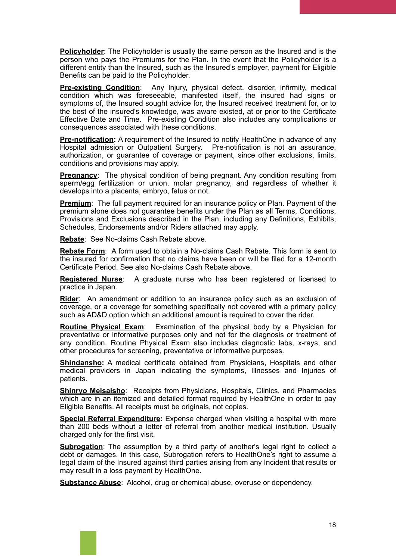**Policyholder:** The Policyholder is usually the same person as the Insured and is the person who pays the Premiums for the Plan. In the event that the Policyholder is a different entity than the Insured, such as the Insured's employer, payment for Eligible Benefits can be paid to the Policyholder.

**Pre-existing Condition**: Any Injury, physical defect, disorder, infirmity, medical condition which was foreseeable, manifested itself, the insured had signs or symptoms of, the Insured sought advice for, the Insured received treatment for, or to the best of the insured's knowledge, was aware existed, at or prior to the Certificate Effective Date and Time. Pre-existing Condition also includes any complications or consequences associated with these conditions.

**Pre-notification:** A requirement of the Insured to notify HealthOne in advance of any Hospital admission or Outpatient Surgery. Pre-notification is not an assurance, authorization, or guarantee of coverage or payment, since other exclusions, limits, conditions and provisions may apply.

**Pregnancy:** The physical condition of being pregnant. Any condition resulting from sperm/egg fertilization or union, molar pregnancy, and regardless of whether it develops into a placenta, embryo, fetus or not.

**Premium:** The full payment required for an insurance policy or Plan. Payment of the premium alone does not guarantee benefits under the Plan as all Terms, Conditions, Provisions and Exclusions described in the Plan, including any Definitions, Exhibits, Schedules, Endorsements and/or Riders attached may apply.

**Rebate**: See No-claims Cash Rebate above.

**Rebate Form**: A form used to obtain a No-claims Cash Rebate. This form is sent to the insured for confirmation that no claims have been or will be filed for a 12-month Certificate Period. See also No-claims Cash Rebate above.

**Registered Nurse**: A graduate nurse who has been registered or licensed to practice in Japan.

**Rider**: An amendment or addition to an insurance policy such as an exclusion of coverage, or a coverage for something specifically not covered with a primary policy such as AD&D option which an additional amount is required to cover the rider.

**Routine Physical Exam**: Examination of the physical body by a Physician for preventative or informative purposes only and not for the diagnosis or treatment of any condition. Routine Physical Exam also includes diagnostic labs, x-rays, and other procedures for screening, preventative or informative purposes.

**Shindansho:** A medical certificate obtained from Physicians, Hospitals and other medical providers in Japan indicating the symptoms, Illnesses and Injuries of patients.

**Shinryo Meisaisho**: Receipts from Physicians, Hospitals, Clinics, and Pharmacies which are in an itemized and detailed format required by HealthOne in order to pay Eligible Benefits. All receipts must be originals, not copies.

**Special Referral Expenditure:** Expense charged when visiting a hospital with more than 200 beds without a letter of referral from another medical institution. Usually charged only for the first visit.

**Subrogation**: The assumption by a third party of another's legal right to collect a debt or damages. In this case, Subrogation refers to HealthOne's right to assume a legal claim of the Insured against third parties arising from any Incident that results or may result in a loss payment by HealthOne.

**Substance Abuse**: Alcohol, drug or chemical abuse, overuse or dependency.